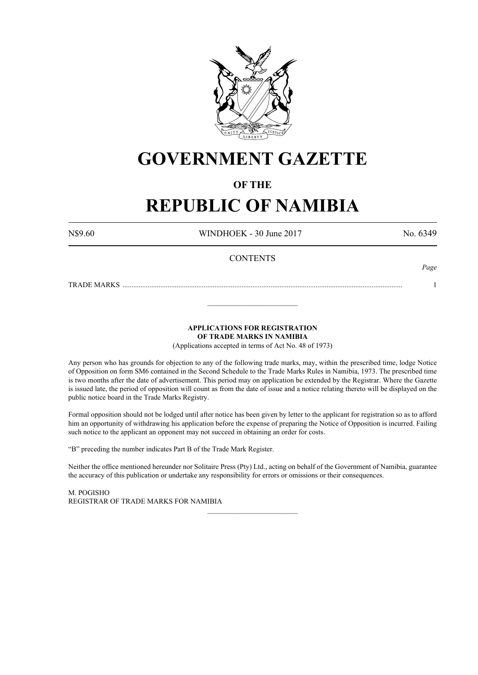

# **GOVERNMENT GAZETTE**

# **OF THE**

# **REPUBLIC OF NAMIBIA**

N\$9.60 WINDHOEK - 30 June 2017 No. 6349

*Page*

# **CONTENTS**

TRADE MARKS ........................................................................................................................................................... 1

**APPLICATIONS FOR REGISTRATION OF TRADE MARKS IN NAMIBIA**

\_\_\_\_\_\_\_\_\_\_\_\_\_\_\_\_\_\_\_\_\_\_\_\_\_

(Applications accepted in terms of Act No. 48 of 1973)

Any person who has grounds for objection to any of the following trade marks, may, within the prescribed time, lodge Notice of Opposition on form SM6 contained in the Second Schedule to the Trade Marks Rules in Namibia, 1973. The prescribed time is two months after the date of advertisement. This period may on application be extended by the Registrar. Where the Gazette is issued late, the period of opposition will count as from the date of issue and a notice relating thereto will be displayed on the public notice board in the Trade Marks Registry.

Formal opposition should not be lodged until after notice has been given by letter to the applicant for registration so as to afford him an opportunity of withdrawing his application before the expense of preparing the Notice of Opposition is incurred. Failing such notice to the applicant an opponent may not succeed in obtaining an order for costs.

"B" preceding the number indicates Part B of the Trade Mark Register.

Neither the office mentioned hereunder nor Solitaire Press (Pty) Ltd., acting on behalf of the Government of Namibia, guarantee the accuracy of this publication or undertake any responsibility for errors or omissions or their consequences.

\_\_\_\_\_\_\_\_\_\_\_\_\_\_\_\_\_\_\_\_\_\_\_\_\_

M. PogIsho REGISTRAR OF TRADE MARKS FOR NAMIBIA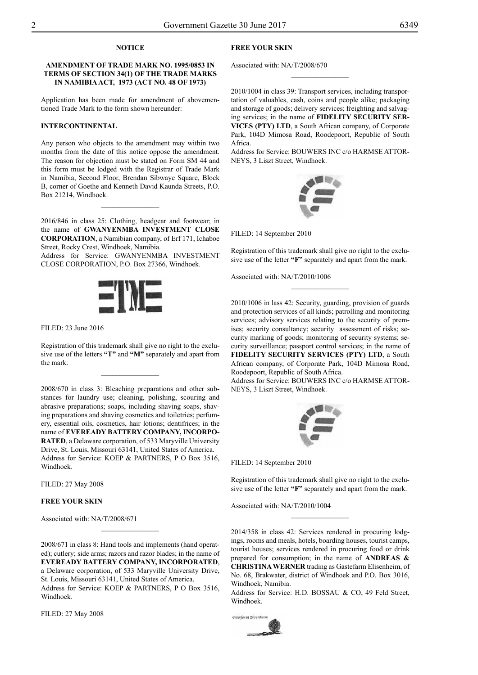# **NOTICE**

### **AMENDMENT OF TRADE MARK NO. 1995/0853 IN TERMS OF SECTION 34(1) OF THE TRADE MARKS IN NAMIBIA ACT, 1973 (ACT NO. 48 OF 1973)**

Application has been made for amendment of abovementioned Trade Mark to the form shown hereunder:

#### **INTERCONTINENTAL**

Any person who objects to the amendment may within two months from the date of this notice oppose the amendment. The reason for objection must be stated on Form SM 44 and this form must be lodged with the Registrar of Trade Mark in Namibia, Second Floor, Brendan Sibwaye Square, Block B, corner of Goethe and Kenneth David Kaunda Streets, P.O. Box 21214, Windhoek.

2016/846 in class 25: Clothing, headgear and footwear; in the name of **GWANYENMBA INVESTMENT CLOSE CORPORATION**, a Namibian company, of Erf 171, Ichaboe Street, Rocky Crest, Windhoek, Namibia.

 $\frac{1}{2}$ 

Address for Service: GWANYENMBA INVESTMENT Close Corporation, P.O. Box 27366, Windhoek.



FILED: 23 June 2016

Registration of this trademark shall give no right to the exclusive use of the letters **"T"** and **"M"** separately and apart from the mark.

 $\overline{\phantom{a}}$  , where  $\overline{\phantom{a}}$ 

2008/670 in class 3: Bleaching preparations and other substances for laundry use; cleaning, polishing, scouring and abrasive preparations; soaps, including shaving soaps, shaving preparations and shaving cosmetics and toiletries; perfumery, essential oils, cosmetics, hair lotions; dentifrices; in the name of **EVEREADY BATTERY COMPANY, INCORPO-RATED**, a Delaware corporation, of 533 Maryville University Drive, St. Louis, Missouri 63141, United States of America. Address for Service: KOEP & PARTNERS, P O Box 3516, Windhoek.

Filed: 27 May 2008

#### **FREE YOUR SKIN**

Associated with: NA/T/2008/671

2008/671 in class 8: Hand tools and implements (hand operated); cutlery; side arms; razors and razor blades; in the name of **EVEREADY BATTERY COMPANY, INCORPORATED**, a Delaware corporation, of 533 Maryville University Drive, St. Louis, Missouri 63141, United States of America. Address for Service: KOEP & PARTNERS, P O Box 3516, Windhoek.

Filed: 27 May 2008

# **FREE YOUR SKIN**

Associated with: NA/T/2008/670

2010/1004 in class 39: Transport services, including transportation of valuables, cash, coins and people alike; packaging and storage of goods; delivery services; freighting and salvaging services; in the name of **FIDELITY SECURITY SER-VICES (PTY) LTD**, a South African company, of Corporate Park, 104D Mimosa Road, Roodepoort, Republic of South Africa.

 $\frac{1}{2}$ 

Address for Service: BOUWERS INC c/o HARMSE ATTOR-NEYS, 3 Liszt Street, Windhoek.



Filed: 14 September 2010

Registration of this trademark shall give no right to the exclusive use of the letter **"F"** separately and apart from the mark.

 $\overline{\phantom{a}}$  , where  $\overline{\phantom{a}}$ 

Associated with: NA/T/2010/1006

2010/1006 in lass 42: Security, guarding, provision of guards and protection services of all kinds; patrolling and monitoring services; advisory services relating to the security of premises; security consultancy; security assessment of risks; security marking of goods; monitoring of security systems; security surveillance; passport control services; in the name of **FIDELITY SECURITY SERVICES (PTY) LTD**, a South African company, of Corporate Park, 104D Mimosa Road, Roodepoort, Republic of South Africa.

Address for Service: BOUWERS INC c/o HARMSE ATTORneys, 3 Liszt Street, Windhoek.



Filed: 14 September 2010

Registration of this trademark shall give no right to the exclusive use of the letter **"F"** separately and apart from the mark.

 $\frac{1}{2}$ 

Associated with: NA/T/2010/1004

2014/358 in class 42: Services rendered in procuring lodgings, rooms and meals, hotels, boarding houses, tourist camps, tourist houses; services rendered in procuring food or drink prepared for consumption; in the name of **ANDREAS & CHRISTINA WERNER** trading as Gastefarm Elisenheim, of No. 68, Brakwater, district of Windhoek and P.O. Box 3016, Windhoek, Namibia.

Address for Service: H.D. BOSSAU & CO, 49 Feld Street, Windhoek.

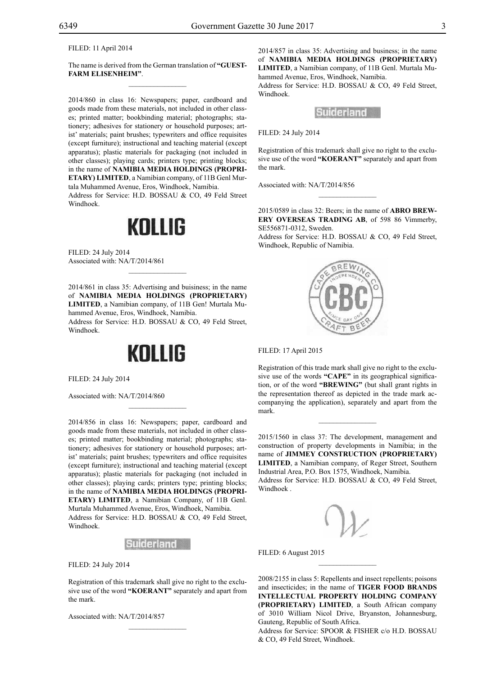Filed: 11 April 2014

The name is derived from the German translation of **"GUEST-FARM ELISENHEIM"**.  $\overline{\phantom{a}}$  , where  $\overline{\phantom{a}}$ 

2014/860 in class 16: Newspapers; paper, cardboard and goods made from these materials, not included in other classes; printed matter; bookbinding material; photographs; stationery; adhesives for stationery or household purposes; artist' materials; paint brushes; typewriters and office requisites (except furniture); instructional and teaching material (except apparatus); plastic materials for packaging (not included in other classes); playing cards; printers type; printing blocks; in the name of **NAMIBIA MEDIA HOLDINGS (PROPRI-ETARY) LIMITED**, a Namibian company, of 11B Genl Murtala Muhammed Avenue, Eros, Windhoek, Namibia.

Address for Service: H.D. BOSSAU & CO, 49 Feld Street Windhoek.

# KOLLIG

Filed: 24 July 2014 Associated with: NA/T/2014/861

2014/861 in class 35: Advertising and buisiness; in the name of **NAMIBIA MEDIA HOLDINGS (PROPRIETARY) LIMITED**, a Namibian company, of 11B Gen! Murtala Muhammed Avenue, Eros, Windhoek, Namibia. Address for Service: H.D. BOSSAU & CO, 49 Feld Street,

 $\overline{\phantom{a}}$  , where  $\overline{\phantom{a}}$ 

Windhoek.

# KOLLIG

 $\mathcal{L}=\mathcal{L}^{\text{max}}$ 

Filed: 24 July 2014

Associated with: NA/T/2014/860

2014/856 in class 16: Newspapers; paper, cardboard and goods made from these materials, not included in other classes; printed matter; bookbinding material; photographs; stationery; adhesives for stationery or household purposes; artist' materials; paint brushes; typewriters and office requisites (except furniture); instructional and teaching material (except apparatus); plastic materials for packaging (not included in other classes); playing cards; printers type; printing blocks; in the name of **NAMIBIA MEDIA HOLDINGS (PROPRI-ETARY) LIMITED**, a Namibian Company, of 11B Genl. Murtala Muhammed Avenue, Eros, Windhoek, Namibia. Address for Service: H.D. BOSSAU & CO, 49 Feld Street, Windhoek.



Filed: 24 July 2014

Registration of this trademark shall give no right to the exclusive use of the word **"KOERANT"** separately and apart from the mark.

Associated with: NA/T/2014/857

2014/857 in class 35: Advertising and business; in the name of **NAMIBIA MEDIA HOLDINGS (PROPRIETARY) LIMITED**, a Namibian company, of 11B Genl. Murtala Muhammed Avenue, Eros, Windhoek, Namibia.

Address for Service: H.D. BOSSAU & CO, 49 Feld Street, Windhoek.



Filed: 24 July 2014

Registration of this trademark shall give no right to the exclusive use of the word **"KOERANT"** separately and apart from the mark.

Associated with: NA/T/2014/856

2015/0589 in class 32: Beers; in the name of **ABRO BREW-ERY OVERSEAS TRADING AB**, of 598 86 Vimmerby, SE556871-0312, Sweden.

 $\frac{1}{2}$ 

Address for Service: H.D. BOSSAU & CO, 49 Feld Street, Windhoek, Republic of Namibia.



Filed: 17 April 2015

Registration of this trade mark shall give no right to the exclusive use of the words **"CAPE"** in its geographical signification, or of the word **"BREWING"** (but shall grant rights in the representation thereof as depicted in the trade mark accompanying the application), separately and apart from the mark.

 $\overline{\phantom{a}}$  , we can also the set of  $\overline{\phantom{a}}$ 

2015/1560 in class 37: The development, management and construction of property developments in Namibia; in the name of **JIMMEY CONSTRUCTION (PROPRIETARY) LIMITED**, a Namibian company, of Reger Street, Southern Industrial Area, P.O. Box 1575, Windhoek, Namibia. Address for Service: H.D. BOSSAU & CO, 49 Feld Street,

Windhoek .



FILED: 6 August 2015

2008/2155 in class 5: Repellents and insect repellents; poisons and insecticides; in the name of **TIGER FOOD BRANDS INTELLECTUAL PROPERTY HOLDING COMPANY (PROPRIETARY) LIMITED**, a South African company of 3010 William Nicol Drive, Bryanston, Johannesburg, Gauteng, Republic of South Africa.

 $\frac{1}{2}$ 

Address for Service: SPOOR & FISHER c/o H.D. BOSSAU & Co, 49 Feld Street, Windhoek.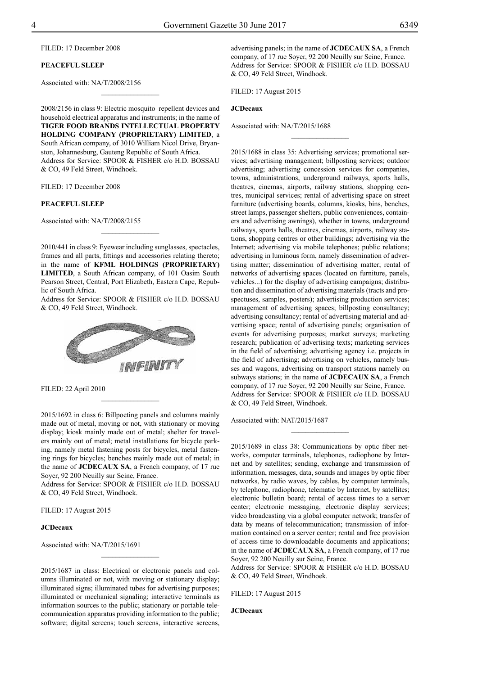Filed: 17 December 2008

#### **PEACEFUL SLEEP**

Associated with: NA/T/2008/2156

2008/2156 in class 9: Electric mosquito repellent devices and household electrical apparatus and instruments; in the name of **TIGER FOOD BRANDS INTELLECTUAL PROPERTY HOLDING COMPANY (PROPRIETARY) LIMITED**, a South African company, of 3010 William Nicol Drive, Bryanston, Johannesburg, Gauteng Republic of South Africa. Address for Service: SPOOR & FISHER c/o H.D. BOSSAU & Co, 49 Feld Street, Windhoek.

 $\frac{1}{2}$ 

Filed: 17 December 2008

#### **PEACEFUL SLEEP**

Associated with: NA/T/2008/2155

2010/441 in class 9: Eyewear including sunglasses, spectacles, frames and all parts, fittings and accessories relating thereto; in the name of **KFML HOLDINGS (PROPRIETARY) LIMITED**, a South African company, of 101 Oasim South Pearson Street, Central, Port Elizabeth, Eastern Cape, Republic of South Africa.

 $\frac{1}{2}$ 

Address for Service: SPOOR & FISHER c/o H.D. BOSSAU & Co, 49 Feld Street, Windhoek.



Filed: 22 April 2010

2015/1692 in class 6: Billpoeting panels and columns mainly made out of metal, moving or not, with stationary or moving display; kiosk mainly made out of metal; shelter for travelers mainly out of metal; metal installations for bicycle parking, namely metal fastening posts for bicycles, metal fastening rings for bicycles; benches mainly made out of metal; in the name of **JCDECAUX SA**, a French company, of 17 rue Soyer, 92 200 Neuilly sur Seine, France.

 $\frac{1}{2}$ 

Address for Service: SPOOR & FISHER c/o H.D. BOSSAU & Co, 49 Feld Street, Windhoek.

Filed: 17 August 2015

#### **JCDecaux**

Associated with: NA/T/2015/1691

2015/1687 in class: Electrical or electronic panels and columns illuminated or not, with moving or stationary display; illuminated signs; illuminated tubes for advertising purposes; illuminated or mechanical signaling; interactive terminals as information sources to the public; stationary or portable telecommunication apparatus providing information to the public; software; digital screens; touch screens, interactive screens,

 $\frac{1}{2}$ 

advertising panels; in the name of **JCDECAUX SA**, a French company, of 17 rue Soyer, 92 200 Neuilly sur Seine, France. Address for Service: SPOOR & FISHER c/o H.D. BOSSAU & Co, 49 Feld Street, Windhoek.

 $\frac{1}{2}$ 

Filed: 17 August 2015

# **JCDecaux**

Associated with: NA/T/2015/1688

2015/1688 in class 35: Advertising services; promotional services; advertising management; billposting services; outdoor advertising; advertising concession services for companies, towns, administrations, underground railways, sports halls, theatres, cinemas, airports, railway stations, shopping centres, municipal services; rental of advertising space on street furniture (advertising boards, columns, kiosks, bins, benches, street lamps, passenger shelters, public conveniences, containers and advertising awnings), whether in towns, underground railways, sports halls, theatres, cinemas, airports, railway stations, shopping centres or other buildings; advertising via the Internet; advertising via mobile telephones; public relations; advertising in luminous form, namely dissemination of advertising matter; dissemination of advertising matter; rental of networks of advertising spaces (located on furniture, panels, vehicles...) for the display of advertising campaigns; distribution and dissemination of advertising materials (tracts and prospectuses, samples, posters); advertising production services; management of advertising spaces; billposting consultancy; advertising consultancy; rental of advertising material and advertising space; rental of advertising panels; organisation of events for advertising purposes; market surveys; marketing research; publication of advertising texts; marketing services in the field of advertising; advertising agency i.e. projects in the field of advertising; advertising on vehicles, namely busses and wagons, advertising on transport stations namely on subways stations; in the name of **JCDECAUX SA**, a French company, of 17 rue Soyer, 92 200 Neuilly sur Seine, France. Address for Service: SPOOR & FISHER c/o H.D. BOSSAU & Co, 49 Feld Street, Windhoek.

Associated with: NAT/2015/1687

2015/1689 in class 38: Communications by optic fiber networks, computer terminals, telephones, radiophone by Internet and by satellites; sending, exchange and transmission of information, messages, data, sounds and images by optic fiber networks, by radio waves, by cables, by computer terminals, by telephone, radiophone, telematic by Internet, by satellites; electronic bulletin board; rental of access times to a server center; electronic messaging, electronic display services; video broadcasting via a global computer network; transfer of data by means of telecommunication; transmission of information contained on a server center; rental and free provision of access time to downloadable documents and applications; in the name of **JCDECAUX SA**, a French company, of 17 rue Soyer, 92 200 Neuilly sur Seine, France.

 $\frac{1}{2}$ 

Address for Service: SPOOR & FISHER c/o H.D. BOSSAU & Co, 49 Feld Street, Windhoek.

Filed: 17 August 2015

#### **JCDecaux**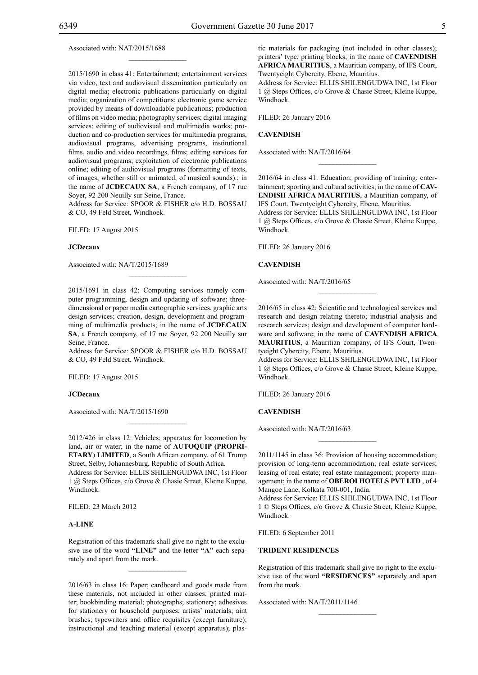Associated with: NAT/2015/1688

2015/1690 in class 41: Entertainment; entertainment services via video, text and audiovisual dissemination particularly on digital media; electronic publications particularly on digital media; organization of competitions; electronic game service provided by means of downloadable publications; production of films on video media; photography services; digital imaging services; editing of audiovisual and multimedia works; production and co-production services for multimedia programs, audiovisual programs, advertising programs, institutional films, audio and video recordings, films; editing services for audiovisual programs; exploitation of electronic publications online; editing of audiovisual programs (formatting of texts, of images, whether still or animated, of musical sounds).; in the name of **JCDECAUX SA**, a French company, of 17 rue Soyer, 92 200 Neuilly sur Seine, France.

 $\mathcal{L}=\mathcal{L}^{\text{max}}$ 

Address for Service: SPOOR & FISHER c/o H.D. BOSSAU & Co, 49 Feld Street, Windhoek.

Filed: 17 August 2015

#### **JCDecaux**

Associated with: NA/T/2015/1689

2015/1691 in class 42: Computing services namely computer programming, design and updating of software; threedimensional or paper media cartographic services, graphic arts design services; creation, design, development and programming of multimedia products; in the name of **JCDECAUX SA**, a French company, of 17 rue Soyer, 92 200 Neuilly sur Seine, France.

Address for Service: SPOOR & FISHER c/o H.D. BOSSAU & Co, 49 Feld Street, Windhoek.

Filed: 17 August 2015

#### **JCDecaux**

Associated with: NA/T/2015/1690

2012/426 in class 12: Vehicles; apparatus for locomotion by land, air or water; in the name of **AUTOQUIP (PROPRI-ETARY) LIMITED**, a South African company, of 61 Trump Street, Selby, Johannesburg, Republic of South Africa. Address for Service: Ellis Shilengudwa Inc, 1st Floor 1 @ Steps Offices, c/o Grove & Chasie Street, Kleine Kuppe, Windhoek.

 $\mathcal{L}=\mathcal{L}^{\text{max}}$ 

Filed: 23 March 2012

### **A-LINE**

Registration of this trademark shall give no right to the exclusive use of the word **"LINE"** and the letter **"A"** each separately and apart from the mark.

 $\mathcal{L}=\mathcal{L}^{\text{max}}$ 

2016/63 in class 16: Paper; cardboard and goods made from these materials, not included in other classes; printed matter; bookbinding material; photographs; stationery; adhesives for stationery or household purposes; artists' materials; aint brushes; typewriters and office requisites (except furniture); instructional and teaching material (except apparatus); plastic materials for packaging (not included in other classes); printers' type; printing blocks; in the name of **CAVENDISH AFRICA MAURITIUS**, a Mauritian company, of IFS Court, Twentyeight Cybercity, Ebene, Mauritius.

Address for Service: Ellis Shilengudwa Inc, 1st Floor 1 @ Steps Offices, c/o Grove & Chasie Street, Kleine Kuppe, Windhoek.

Filed: 26 January 2016

### **CAVENDISH**

Associated with: NA/T/2016/64

2016/64 in class 41: Education; providing of training; entertainment; sporting and cultural activities; in the name of **CAV-ENDISH AFRICA MAURITIUS**, a Mauritian company, of IFS Court, Twentyeight Cybercity, Ebene, Mauritius.

 $\overline{\phantom{a}}$  , where  $\overline{\phantom{a}}$ 

Address for Service: Ellis Shilengudwa Inc, 1st Floor 1 @ Steps Offices, c/o Grove & Chasie Street, Kleine Kuppe, Windhoek.

FILED: 26 January 2016

#### **CAVENDISH**

Associated with: NA/T/2016/65

2016/65 in class 42: Scientific and technological services and research and design relating thereto; industrial analysis and research services; design and development of computer hardware and software; in the name of **CAVENDISH AFRICA MAURITIUS**, a Mauritian company, of IFS Court, Twentyeight Cybercity, Ebene, Mauritius.

 $\frac{1}{2}$ 

Address for Service: Ellis Shilengudwa Inc, 1st Floor 1 @ Steps Offices, c/o Grove & Chasie Street, Kleine Kuppe, Windhoek.

FILED: 26 January 2016

### **CAVENDISH**

Associated with: NA/T/2016/63

2011/1145 in class 36: Provision of housing accommodation; provision of long-term accommodation; real estate services; leasing of real estate; real estate management; property management; in the name of **OBEROI HOTELS PVT LTD** , of 4 Mangoe Lane, Kolkata 700-001, India.

 $\overline{\phantom{a}}$  , where  $\overline{\phantom{a}}$ 

Address for Service: Ellis Shilengudwa Inc, 1st Floor 1 © Steps Offices, c/o Grove & Chasie Street, Kleine Kuppe, Windhoek.

FILED: 6 September 2011

#### **TRIDENT RESIDENCES**

Registration of this trademark shall give no right to the exclusive use of the word **"RESIDENCES"** separately and apart from the mark.

 $\frac{1}{2}$ 

Associated with: NA/T/2011/1146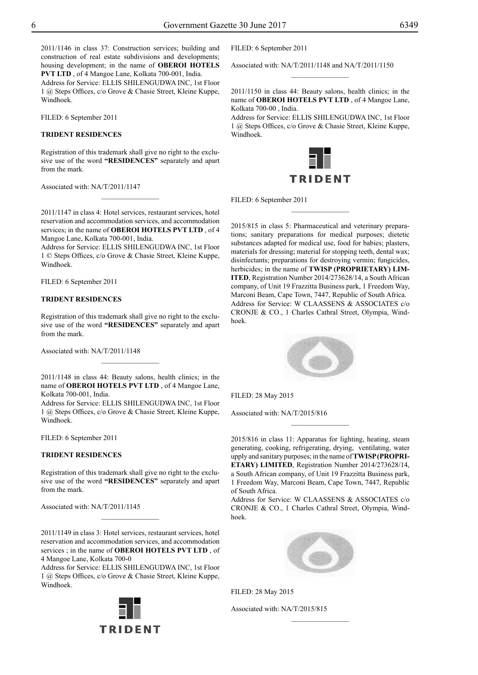2011/1146 in class 37: Construction services; building and construction of real estate subdivisions and developments; housing development; in the name of **OBEROI HOTELS PVT LTD** , of 4 Mangoe Lane, Kolkata 700-001, India.

Address for Service: Ellis Shilengudwa Inc, 1st Floor 1 @ Steps Offices, c/o Grove & Chasie Street, Kleine Kuppe, Windhoek.

FILED: 6 September 2011

# **TRIDENT RESIDENCES**

Registration of this trademark shall give no right to the exclusive use of the word **"RESIDENCES"** separately and apart from the mark.

Associated with: NA/T/2011/1147

2011/1147 in class 4: Hotel services, restaurant services, hotel reservation and accommodation services, and accommodation services; in the name of **OBEROI HOTELS PVT LTD** , of 4 Mangoe Lane, Kolkata 700-001, India.

 $\frac{1}{2}$ 

Address for Service: Ellis Shilengudwa Inc, 1st Floor 1 © Steps Offices, c/o Grove & Chasie Street, Kleine Kuppe, Windhoek.

FILED: 6 September 2011

#### **TRIDENT RESIDENCES**

Registration of this trademark shall give no right to the exclusive use of the word **"RESIDENCES"** separately and apart from the mark.

Associated with: NA/T/2011/1148

2011/1148 in class 44: Beauty salons, health clinics; in the name of **OBEROI HOTELS PVT LTD** , of 4 Mangoe Lane, Kolkata 700-001, India.

Address for Service: Ellis Shilengudwa Inc, 1st Floor 1 @ Steps Offices, c/o Grove & Chasie Street, Kleine Kuppe, Windhoek.

FILED: 6 September 2011

## **TRIDENT RESIDENCES**

Registration of this trademark shall give no right to the exclusive use of the word **"RESIDENCES"** separately and apart from the mark.

Associated with: NA/T/2011/1145

2011/1149 in class 3: Hotel services, restaurant services, hotel reservation and accommodation services, and accommodation services ; in the name of **OBEROI HOTELS PVT LTD** , of 4 Mangoe Lane, Kolkata 700-0

 $\frac{1}{2}$ 

Address for Service: Ellis Shilengudwa Inc, 1st Floor 1 @ Steps Offices, c/o Grove & Chasie Street, Kleine Kuppe, Windhoek.



FILED: 6 September 2011

Associated with: NA/T/2011/1148 and NA/T/2011/1150

2011/1150 in class 44: Beauty salons, health clinics; in the name of **OBEROI HOTELS PVT LTD** , of 4 Mangoe Lane, Kolkata 700-00 , India.

 $\overline{\phantom{a}}$  , where  $\overline{\phantom{a}}$ 

Address for Service: Ellis Shilengudwa Inc, 1st Floor 1 @ Steps Offices, c/o Grove & Chasie Street, Kleine Kuppe, Windhoek.



 $\frac{1}{2}$ 

FILED: 6 September 2011

2015/815 in class 5: Pharmaceutical and veterinary preparations; sanitary preparations for medical purposes; dietetic substances adapted for medical use, food for babies; plasters, materials for dressing; material for stopping teeth, dental wax; disinfectants; preparations for destroying vermin; fungicides, herbicides; in the name of **TWISP (PROPRIETARY) LIM-ITED**, Registration Number 2014/273628/14, a South African company, of Unit 19 Frazzitta Business park, 1 Freedom Way, Marconi Beam, Cape Town, 7447, Republic of South Africa. Address for Service: W CLAASSENS & ASSOCIATES c/o CRONJE & CO., 1 Charles Cathral Street, Olympia, Windhoek.



Filed: 28 May 2015

Associated with: NA/T/2015/816

2015/816 in class 11: Apparatus for lighting, heating, steam generating, cooking, refrigerating, drying, ventilating, water upply and sanitary purposes; in the name of **TWISP (PROPRI-ETARY) LIMITED**, Registration Number 2014/273628/14, a South African company, of Unit 19 Frazzitta Business park, 1 Freedom Way, Marconi Beam, Cape Town, 7447, Republic of South Africa.

 $\overline{\phantom{a}}$  , where  $\overline{\phantom{a}}$ 

Address for Service: W CLAASSENS & ASSOCIATES c/o CRONJE & CO., 1 Charles Cathral Street, Olympia, Windhoek.



 $\overline{\phantom{a}}$  , where  $\overline{\phantom{a}}$ 

Filed: 28 May 2015

Associated with: NA/T/2015/815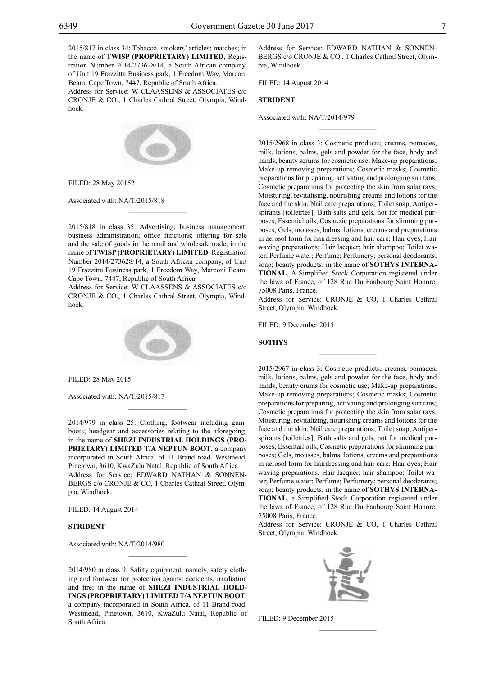2015/817 in class 34: Tobacco. smokers' articles; matches; in the name of **TWISP (PROPRIETARY) LIMITED**, Registration Number 2014/273628/14, a South African company, of Unit 19 Frazzitta Business park, 1 Freedom Way, Marconi Beam, Cape Town, 7447, Republic of South Africa.

Address for Service: W Claassens & Associates c/o CRONJE & CO., 1 Charles Cathral Street, Olympia, Windhoek.



Filed: 28 May 20152

Associated with: NA/T/2015/818

2015/818 in class 35: Advertising; business management; business administration; office functions; offering for sale and the sale of goods in the retail and wholesale trade; in the name of **TWISP (PROPRIETARY) LIMITED**, Registration Number 2014/273628/14, a South African company, of Unit 19 Frazzitta Business park, 1 Freedom Way, Marconi Beam, Cape Town, 7447, Republic of South Africa.

 $\mathcal{L}=\mathcal{L}^{\mathcal{L}}$ 

Address for Service: W CLAASSENS & ASSOCIATES c/o CRONJE & CO., 1 Charles Cathral Street, Olympia, Windhoek.



Filed: 28 May 2015

Associated with: NA/T/2015/817

2014/979 in class 25: Clothing, footwear including gumboots; headgear and accessories relating to the aforegoing; in the name of **SHEZI INDUSTRIAL HOLDINGS (PRO-PRIETARY) LIMITED T/A NEPTUN BOOT**, a company incorporated in South Africa, of 11 Brand road, Westmead, Pinetown, 3610, KwaZulu Natal, Republic of South Africa. Address for Service: EDWARD NATHAN & SONNEN-BERGS c/o CRONJE & CO, 1 Charles Cathral Street, Olympia, Windhoek.

 $\mathcal{L}=\mathcal{L}^{\mathcal{L}}$ 

Filed: 14 August 2014

#### **STRIDENT**

Associated with: NA/T/2014/980

2014/980 in class 9: Safety equipment, namely, safety clothing and footwear for protection against accidents, irradiation and fire; in the name of **SHEZI INDUSTRIAL HOLD-INGS (PROPRIETARY) LIMITED T/A NEPTUN BOOT**, a company incorporated in South Africa, of 11 Brand road, Westmead, Pinetown, 3610, KwaZulu Natal, Republic of South Africa.

 $\frac{1}{2}$ 

Address for Service: EDWARD NATHAN & SONNEN-BERGS c/o CRONJE & CO., 1 Charles Cathral Street, Olympia, Windhoek.

 $\overline{\phantom{a}}$  , where  $\overline{\phantom{a}}$ 

Filed: 14 August 2014

#### **STRIDENT**

Associated with: NA/T/2014/979

2015/2968 in class 3: Cosmetic products; creams, pomades, milk, lotions, balms, gels and powder for the face, body and hands; beauty serums for cosmetic use; Make-up preparations; Make-up removing preparations; Cosmetic masks; Cosmetic preparations for preparing, activating and prolonging sun tans; Cosmetic preparations for protecting the skin from solar rays; Moisturing, revitalising, nourishing creams and lotions for the face and the skin; Nail care preparations; Toilet soap; Antiperspirants [toiletries]; Bath salts and gels, not for medical purposes; Essential oils; Cosmetic preparations for slimming purposes; Gels, mousses, balms, lotions, creams and preparations in aerosol form for hairdressing and hair care; Hair dyes; Hair waving preparations; Hair lacquer; hair shampoo; Toilet water; Perfume water; Perfume; Perfumery; personal deodorants; soap; beauty products; in the name of **SOTHYS INTERNA-TIONAL**, A Simplified Stock Corporation registered under the laws of France, of 128 Rue Du Faubourg Saint Honore, 75008 Paris, France.

Address for Service: CRONJE & CO, 1 Charles Cathral Street, Olympia, Windhoek.

 $\overline{\phantom{a}}$  , where  $\overline{\phantom{a}}$ 

FILED: 9 December 2015

**SOTHYS**

2015/2967 in class 3: Cosmetic products; creams, pomades, milk, lotions, balms, gels and powder for the face, body and hands; beauty erums for cosmetic use; Make-up preparations; Make-up removing preparations; Cosmetic masks; Cosmetic preparations for preparing, activating and prolonging sun tans; Cosmetic preparations for protecting the skin from solar rays; Moisturing, revitalizing, nourishing creams and lotions for the face and the skin; Nail care preparations; Toilet soap; Antiperspirants [toiletries]; Bath salts and gels, not for medical purposes; Essentail oils; Cosmetic preparations for slimming purposes; Gels, mousses, balms, lotions, creams and preparations in aerosol form for hairdressing and hair care; Hair dyes; Hair waving preparations; Hair lacquer; hair shampoo; Toilet water; Perfume water; Perfume; Perfumery; personal deodorants; soap; beauty products; in the name of **SOTHYS INTERNA-TIONAL**, a Simplified Stock Corporation registered under the laws of France, of 128 Rue Du Faubourg Saint Honore, 75008 Paris, France.

Address for Service: CRONJE & CO, 1 Charles Cathral Street, Olympia, Windhoek.



 $\frac{1}{2}$ 

Filed: 9 December 2015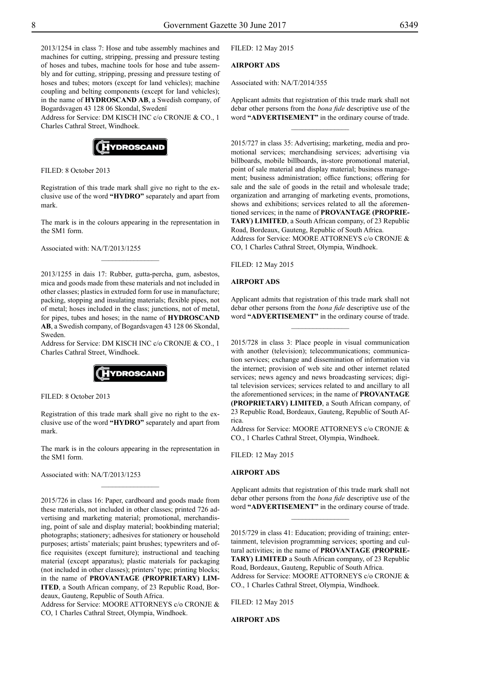2013/1254 in class 7: Hose and tube assembly machines and machines for cutting, stripping, pressing and pressure testing of hoses and tubes, machine tools for hose and tube assembly and for cutting, stripping, pressing and pressure testing of hoses and tubes; motors (except for land vehicles); machine coupling and belting components (except for land vehicles); in the name of **HYDROSCAND AB**, a Swedish company, of Bogardsvagen 43 128 06 Skondal, Swedenï

Address for Service: DM KISCH INC c/o CRONJE & CO., 1 Charles Cathral Street, Windhoek.



FILED: 8 October 2013

Registration of this trade mark shall give no right to the exclusive use of the word **"HYDRO"** separately and apart from mark.

The mark is in the colours appearing in the representation in the SM1 form.

Associated with: NA/T/2013/1255

2013/1255 in dais 17: Rubber, gutta-percha, gum, asbestos, mica and goods made from these materials and not included in other classes; plastics in extruded form for use in manufacture; packing, stopping and insulating materials; flexible pipes, not of metal; hoses included in the class; junctions, not of metal, for pipes, tubes and hoses; in the name of **HYDROSCAND AB**, a Swedish company, of Bogardsvagen 43 128 06 Skondal, Sweden.

Address for Service: DM KISCH INC c/o CRONJE & CO., 1 Charles Cathral Street, Windhoek.



Filed: 8 October 2013

Registration of this trade mark shall give no right to the exclusive use of the word **"HYDRO"** separately and apart from mark.

The mark is in the colours appearing in the representation in the SM1 form.

 $\frac{1}{2}$ 

Associated with: NA/T/2013/1253

2015/726 in class 16: Paper, cardboard and goods made from these materials, not included in other classes; printed 726 advertising and marketing material; promotional, merchandising, point of sale and display material; bookbinding material; photographs; stationery; adhesives for stationery or household purposes; artists' materials; paint brushes; typewriters and office requisites (except furniture); instructional and teaching material (except apparatus); plastic materials for packaging (not included in other classes); printers' type; printing blocks; in the name of **PROVANTAGE (PROPRIETARY) LIM-ITED**, a South African company, of 23 Republic Road, Bordeaux, Gauteng, Republic of South Africa.

Address for Service: MOORE ATTORNEYS c/o CRONJE & Co, 1 Charles Cathral Street, Olympia, Windhoek.

Filed: 12 May 2015

# **AIRPORT ADS**

Associated with: NA/T/2014/355

Applicant admits that registration of this trade mark shall not debar other persons from the *bona fide* descriptive use of the word **"ADVERTISEMENT"** in the ordinary course of trade.

 $\overline{\phantom{a}}$  , where  $\overline{\phantom{a}}$ 

2015/727 in class 35: Advertising; marketing, media and promotional services; merchandising services; advertising via billboards, mobile billboards, in-store promotional material, point of sale material and display material; business management; business administration; office functions; offering for sale and the sale of goods in the retail and wholesale trade; organization and arranging of marketing events, promotions, shows and exhibitions; services related to all the aforementioned services; in the name of **PROVANTAGE (PROPRIE-TARY) LIMITED**, a South African company, of 23 Republic Road, Bordeaux, Gauteng, Republic of South Africa. Address for Service: MOORE ATTORNEYS c/o CRONJE & Co, 1 Charles Cathral Street, Olympia, Windhoek.

Filed: 12 May 2015

#### **AIRPORT ADS**

Applicant admits that registration of this trade mark shall not debar other persons from the *bona fide* descriptive use of the word **"ADVERTISEMENT"** in the ordinary course of trade.

 $\frac{1}{2}$ 

2015/728 in class 3: Place people in visual communication with another (television); telecommunications; communication services; exchange and dissemination of information via the internet; provision of web site and other internet related services; news agency and news broadcasting services; digital television services; services related to and ancillary to all the aforementioned services; in the name of **PROVANTAGE (PROPRIETARY) LIMITED**, a South African company, of 23 Republic Road, Bordeaux, Gauteng, Republic of South Africa.

Address for Service: MOORE ATTORNEYS c/o CRONJE & Co., 1 Charles Cathral Street, Olympia, Windhoek.

Filed: 12 May 2015

#### **AIRPORT ADS**

Applicant admits that registration of this trade mark shall not debar other persons from the *bona fide* descriptive use of the word **"ADVERTISEMENT"** in the ordinary course of trade.

 $\frac{1}{2}$ 

2015/729 in class 41: Education; providing of training; entertainment, television programming services; sporting and cultural activities; in the name of **PROVANTAGE (PROPRIE-TARY) LIMITED** a South African company, of 23 Republic Road, Bordeaux, Gauteng, Republic of South Africa. Address for Service: MOORE ATTORNEYS c/o CRONJE & Co., 1 Charles Cathral Street, Olympia, Windhoek.

Filed: 12 May 2015

**AIRPORT ADS**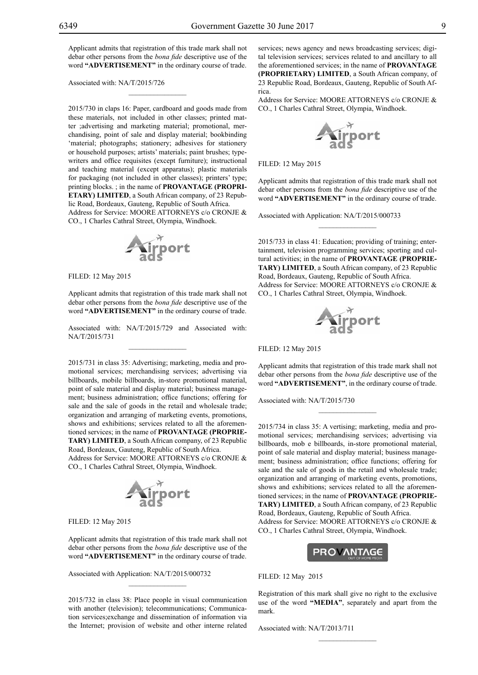Applicant admits that registration of this trade mark shall not debar other persons from the *bona fide* descriptive use of the word **"ADVERTISEMENT"** in the ordinary course of trade.

 $\mathcal{L}=\mathcal{L}^{\mathcal{L}}$ 

Associated with: NA/T/2015/726

2015/730 in claps 16: Paper, cardboard and goods made from these materials, not included in other classes; printed matter ;advertising and marketing material; promotional, merchandising, point of sale and display material; bookbinding 'material; photographs; stationery; adhesives for stationery or household purposes; artists' materials; paint brushes; typewriters and office requisites (except furniture); instructional and teaching material (except apparatus); plastic materials for packaging (not included in other classes); printers' type; printing blocks. ; in the name of **PROVANTAGE (PROPRI-ETARY) LIMITED**, a South African company, of 23 Republic Road, Bordeaux, Gauteng, Republic of South Africa.

Address for Service: MOORE ATTORNEYS c/o CRONJE & Co., 1 Charles Cathral Street, Olympia, Windhoek.



Filed: 12 May 2015

Applicant admits that registration of this trade mark shall not debar other persons from the *bona fide* descriptive use of the word **"ADVERTISEMENT"** in the ordinary course of trade.

Associated with: NA/T/2015/729 and Associated with: NA/T/2015/731  $\mathcal{L}=\mathcal{L}^{\mathcal{L}}$ 

2015/731 in class 35: Advertising; marketing, media and promotional services; merchandising services; advertising via billboards, mobile billboards, in-store promotional material, point of sale material and display material; business management; business administration; office functions; offering for sale and the sale of goods in the retail and wholesale trade; organization and arranging of marketing events, promotions, shows and exhibitions; services related to all the aforementioned services; in the name of **PROVANTAGE (PROPRIE-TARY) LIMITED**, a South African company, of 23 Republic Road, Bordeaux, Gauteng, Republic of South Africa. Address for Service: MOORE ATTORNEYS c/o CRONJE & Co., 1 Charles Cathral Street, Olympia, Windhoek.



Filed: 12 May 2015

Applicant admits that registration of this trade mark shall not debar other persons from the *bona fide* descriptive use of the word **"ADVERTISEMENT"** in the ordinary course of trade.

Associated with Application: NA/T/2015/000732

2015/732 in class 38: Place people in visual communication with another (television); telecommunications; Communication services;exchange and dissemination of information via the Internet; provision of website and other interne related

 $\mathcal{L}=\mathcal{L}^{\mathcal{L}}$ 

services; news agency and news broadcasting services; digital television services; services related to and ancillary to all the aforementioned services; in the name of **PROVANTAGE (PROPRIETARY) LIMITED**, a South African company, of 23 Republic Road, Bordeaux, Gauteng, Republic of South Africa.

Address for Service: MOORE ATTORNEYS c/o CRONJE & Co., 1 Charles Cathral Street, Olympia, Windhoek.



Filed: 12 May 2015

Applicant admits that registration of this trade mark shall not debar other persons from the *bona fide* descriptive use of the word **"ADVERTISEMENT"** in the ordinary course of trade.

 $\overline{\phantom{a}}$  , we can also the set of  $\overline{\phantom{a}}$ 

Associated with Application: NA/T/2015/000733

2015/733 in class 41: Education; providing of training; entertainment, television programming services; sporting and cultural activities; in the name of **PROVANTAGE (PROPRIE-TARY) LIMITED**, a South African company, of 23 Republic Road, Bordeaux, Gauteng, Republic of South Africa. Address for Service: MOORE ATTORNEYS c/o CRONJE & Co., 1 Charles Cathral Street, Olympia, Windhoek.



Filed: 12 May 2015

Applicant admits that registration of this trade mark shall not debar other persons from the *bona fide* descriptive use of the word **"ADVERTISEMENT"**, in the ordinary course of trade.

 $\frac{1}{2}$ 

Associated with: NA/T/2015/730

2015/734 in class 35: A vertising; marketing, media and promotional services; merchandising services; advertising via billboards, mob e billboards, in-store promotional material, point of sale material and display material; business management; business administration; office functions; offering for sale and the sale of goods in the retail and wholesale trade; organization and arranging of marketing events, promotions, shows and exhibitions; services related to all the aforementioned services; in the name of **PROVANTAGE (PROPRIE-TARY) LIMITED**, a South African company, of 23 Republic Road, Bordeaux, Gauteng, Republic of South Africa. Address for Service: MOORE ATTORNEYS c/o CRONJE & Co., 1 Charles Cathral Street, Olympia, Windhoek.



Filed: 12 May 2015

Registration of this mark shall give no right to the exclusive use of the word **"MEDIA"**, separately and apart from the mark.

 $\frac{1}{2}$ 

Associated with: NA/T/2013/711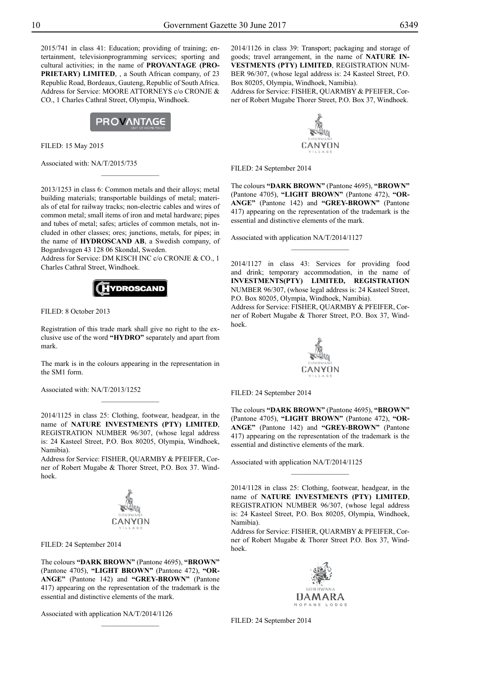2015/741 in class 41: Education; providing of training; entertainment, televisionprogramming services; sporting and cultural activities; in the name of **PROVANTAGE (PRO-PRIETARY) LIMITED**, , a South African company, of 23 Republic Road, Bordeaux, Gauteng, Republic of South Africa. Address for Service: MOORE ATTORNEYS c/o CRONJE & Co., 1 Charles Cathral Street, Olympia, Windhoek.



Filed: 15 May 2015

Associated with: NA/T/2015/735

2013/1253 in class 6: Common metals and their alloys; metal building materials; transportable buildings of metal; materials of etal for railway tracks; non-electric cables and wires of common metal; small items of iron and metal hardware; pipes and tubes of metal; safes; articles of common metals, not included in other classes; ores; junctions, metals, for pipes; in the name of **HYDROSCAND AB**, a Swedish company, of Bogardsvagen 43 128 06 Skondal, Sweden.

 $\overline{\phantom{a}}$  , where  $\overline{\phantom{a}}$ 

Address for Service: DM KISCH INC c/o CRONJE & CO., 1 Charles Cathral Street, Windhoek.



FILED: 8 October 2013

Registration of this trade mark shall give no right to the exclusive use of the word **"HYDRO"** separately and apart from mark.

The mark is in the colours appearing in the representation in the SM1 form.

Associated with: NA/T/2013/1252

2014/1125 in class 25: Clothing, footwear, headgear, in the name of **NATURE INVESTMENTS (PTY) LIMITED**, REGISTRATION NUMBER 96/307, (whose legal address is: 24 Kasteel Street, P.O. Box 80205, Olympia, Windhoek, Namibia).

Address for Service: FISHER, QUARMBY & PFEIFER, Corner of Robert Mugabe & Thorer Street, P.O. Box 37. Windhoek.



Filed: 24 September 2014

The colours **"DARK BROWN"** (Pantone 4695), **"BROWN"**  (Pantone 4705), **"LIGHT BROWN"** (Pantone 472), **"OR-ANGE"** (Pantone 142) and **"GREY-BROWN"** (Pantone 417) appearing on the representation of the trademark is the essential and distinctive elements of the mark.

 $\frac{1}{2}$ 

Associated with application NA/T/2014/1126

2014/1126 in class 39: Transport; packaging and storage of goods; travel arrangement, in the name of **NATURE IN-VESTMENTS (PTY) LIMITED**, REGISTRATION NUM-BER 96/307, (whose legal address is: 24 Kasteel Street, P.O. Box 80205, Olympia, Windhoek, Namibia).

Address for Service: FISHER, QUARMBY & PFEIFER, Corner of Robert Mugabe Thorer Street, P.O. Box 37, Windhoek.



Filed: 24 September 2014

The colours **"DARK BROWN"** (Pantone 4695), **"BROWN"**  (Pantone 4705), **"LIGHT BROWN"** (Pantone 472), **"OR-ANGE"** (Pantone 142) and **"GREY-BROWN"** (Pantone 417) appearing on the representation of the trademark is the essential and distinctive elements of the mark.

Associated with application NA/T/2014/1127

2014/1127 in class 43: Services for providing food and drink; temporary accommodation, in the name of **INVESTMENTS(PTY) LIMITED, REGISTRATION** NUMBER 96/307, (whose legal address is: 24 Kasteel Street, P.O. Box 80205, Olympia, Windhoek, Namibia).

 $\frac{1}{2}$ 

Address for Service: FISHER, QUARMBY & PFEIFER, Corner of Robert Mugabe & Thorer Street, P.O. Box 37, Windhoek.



Filed: 24 September 2014

The colours **"DARK BROWN"** (Pantone 4695), **"BROWN"**  (Pantone 4705), **"LIGHT BROWN"** (Pantone 472), **"OR-ANGE"** (Pantone 142) and **"GREY-BROWN"** (Pantone 417) appearing on the representation of the trademark is the essential and distinctive elements of the mark.

Associated with application NA/T/2014/1125

2014/1128 in class 25: Clothing, footwear, headgear, in the name of **NATURE INVESTMENTS (PTY) LIMITED**, REGISTRATION NUMBER 96/307, (whose legal address is: 24 Kasteel Street, P.O. Box 80205, Olympia, Windhoek, Namibia).

 $\overline{\phantom{a}}$  , where  $\overline{\phantom{a}}$ 

Address for Service: FISHER, QUARMBY & PFEIFER, Corner of Robert Mugabe & Thorer Street P.O. Box 37, Windhoek.



FILED: 24 September 2014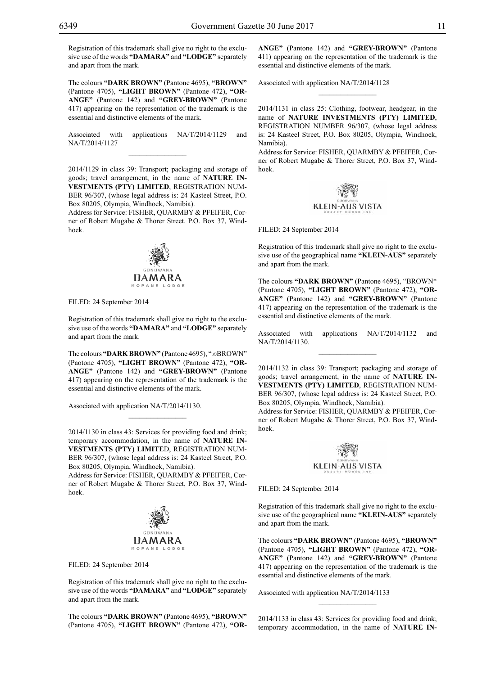Registration of this trademark shall give no right to the exclusive use of the words **"DAMARA"** and **"LODGE"** separately and apart from the mark.

The colours **"DARK BROWN"** (Pantone 4695), **"BROWN"**  (Pantone 4705), **"LIGHT BROWN"** (Pantone 472), **"OR-ANGE"** (Pantone 142) and **"GREY-BROWN"** (Pantone 417) appearing on the representation of the trademark is the essential and distinctive elements of the mark.

Associated with applications NA/T/2014/1129 and NA/T/2014/1127  $\mathcal{L}=\mathcal{L}^{\mathcal{L}}$ 

2014/1129 in class 39: Transport; packaging and storage of goods; travel arrangement, in the name of **NATURE IN-VESTMENTS (PTY) LIMITED**, REGISTRATION NUM-BER 96/307, (whose legal address is: 24 Kasteel Street, P.O. Box 80205, Olympia, Windhoek, Namibia).

Address for Service: FISHER, QUARMBY & PFEIFER, Corner of Robert Mugabe & Thorer Street. P.O. Box 37, Windhoek.



Filed: 24 September 2014

Registration of this trademark shall give no right to the exclusive use of the words **"DAMARA"** and **"LODGE"** separately and apart from the mark.

The colours **"DARK BROWN"** (Pantone 4695), "∞BROWN" (Paotone 4705), **"LIGHT BROWN"** (Pantone 472), **"OR-ANGE"** (Pantone 142) and **"GREY-BROWN"** (Pantone 417) appearing on the representation of the trademark is the essential and distinctive elements of the mark.

Associated with application NA/T/2014/1130.

2014/1130 in class 43: Services for providing food and drink; temporary accommodation, in the name of **NATURE IN-VESTMENTS (PTY) LIMITE**D, REGISTRATION NUM-BER 96/307, (whose legal address is: 24 Kasteel Street, P.O. Box 80205, Olympia, Windhoek, Namibia).

 $\overline{\phantom{a}}$  , where  $\overline{\phantom{a}}$ 

Address for Service: FISHER, QUARMBY & PFEIFER, Corner of Robert Mugabe & Thorer Street, P.O. Box 37, Windhoek.



Filed: 24 September 2014

Registration of this trademark shall give no right to the exclusive use of the words **"DAMARA"** and **"LODGE"** separately and apart from the mark.

The colours **"DARK BROWN"** (Pantone 4695), **"BROWN"**  (Pantone 4705), **"LIGHT BROWN"** (Pantone 472), **"OR-** **ANGE"** (Pantone 142) and **"GREY-BROWN"** (Pantone 411) appearing on the representation of the trademark is the essential and distinctive elements of the mark.

 $\frac{1}{2}$ 

Associated with application NA/T/2014/1128

2014/1131 in class 25: Clothing, footwear, headgear, in the name of **NATURE INVESTMENTS (PTY) LIMITED**, REGISTRATION NUMBER 96/307, (whose legal address is: 24 Kasteel Street, P.O. Box 80205, Olympia, Windhoek, Namibia).

Address for Service: FISHER, QUARMBY & PFEIFER, Corner of Robert Mugabe & Thorer Street, P.O. Box 37, Windhoek.



Filed: 24 September 2014

Registration of this trademark shall give no right to the exclusive use of the geographical name **"KLEIN-AUS"** separately and apart from the mark.

The colours **"DARK BROWN"** (Pantone 4695), "BROWN\* (Pantone 4705), **"LIGHT BROWN"** (Pantone 472), **"OR-ANGE"** (Pantone 142) and **"GREY-BROWN"** (Pantone 417) appearing on the representation of the trademark is the essential and distinctive elements of the mark.

Associated with applications NA/T/2014/1132 and NA/T/2014/1130.  $\frac{1}{2}$ 

2014/1132 in class 39: Transport; packaging and storage of goods; travel arrangement, in the name of **NATURE IN-VESTMENTS (PTY) LIMITED**, REGISTRATION NUM-BER 96/307, (whose legal address is: 24 Kasteel Street, P.O. Box 80205, Olympia, Windhoek, Namibia).

Address for Service: FISHER, QUARMBY & PFEIFER, Corner of Robert Mugabe & Thorer Street, P.O. Box 37, Windhoek.



Filed: 24 September 2014

Registration of this trademark shall give no right to the exclusive use of the geographical name **"KLEIN-AUS"** separately and apart from the mark.

The colours **"DARK BROWN"** (Pantone 4695), **"BROWN"**  (Pantone 4705), **"LIGHT BROWN"** (Pantone 472), **"OR-ANGE"** (Pantone 142) and **"GREY-BROWN"** (Pantone 417) appearing on the representation of the trademark is the essential and distinctive elements of the mark.

Associated with application NA/T/2014/1133

2014/1133 in class 43: Services for providing food and drink; temporary accommodation, in the name of **NATURE IN-**

 $\frac{1}{2}$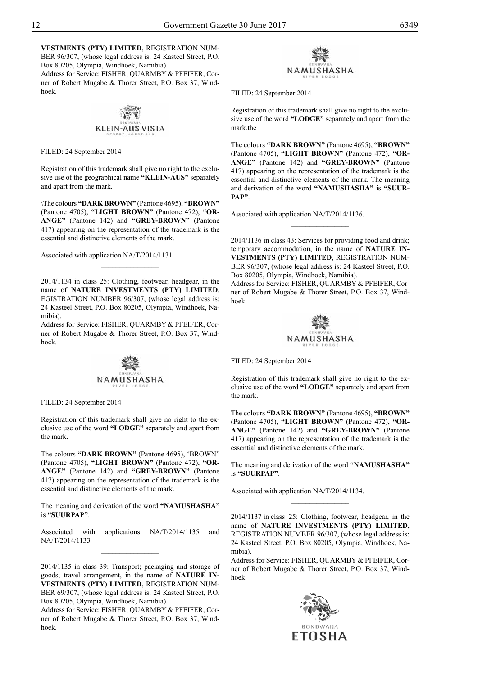**VESTMENTS (PTY) LIMITED**, REGISTRATION NUM-BER 96/307, (whose legal address is: 24 Kasteel Street, P.O. Box 80205, Olympia, Windhoek, Namibia). Address for Service: FISHER, QUARMBY & PFEIFER, Corner of Robert Mugabe & Thorer Street, P.O. Box 37, Windhoek.

# **KLEIN-AUS VISTA**

FILED: 24 September 2014

Registration of this trademark shall give no right to the exclusive use of the geographical name **"KLEIN-AUS"** separately and apart from the mark.

\The colours **"DARK BROWN"** (Pantone 4695), **"BROWN"**  (Pantone 4705), **"LIGHT BROWN"** (Pantone 472), **"OR-ANGE"** (Pantone 142) and **"GREY-BROWN"** (Pantone 417) appearing on the representation of the trademark is the essential and distinctive elements of the mark.

Associated with application NA/T/2014/1131

2014/1134 in class 25: Clothing, footwear, headgear, in the name of **NATURE INVESTMENTS (PTY) LIMITED**, EGISTRATION NUMBER 96/307, (whose legal address is: 24 Kasteel Street, P.O. Box 80205, Olympia, Windhoek, Namibia).

 $\frac{1}{2}$ 

Address for Service: FISHER, QUARMBY & PFEIFER, Corner of Robert Mugabe & Thorer Street, P.O. Box 37, Windhoek.



FILED: 24 September 2014

Registration of this trademark shall give no right to the exclusive use of the word **"LODGE"** separately and apart from the mark.

The colours **"DARK BROWN"** (Pantone 4695), 'BROWN" (Pantone 4705), **"LIGHT BROWN"** (Pantone 472), **"OR-ANGE"** (Pantone 142) and **"GREY-BROWN"** (Pantone 417) appearing on the representation of the trademark is the essential and distinctive elements of the mark.

The meaning and derivation of the word **"NAMUSHASHA"**  is **"SUURPAP"**.

Associated with applications NA/T/2014/1135 and NA/T/2014/1133  $\frac{1}{2}$ 

2014/1135 in class 39: Transport; packaging and storage of goods; travel arrangement, in the name of **NATURE IN-VESTMENTS (PTY) LIMITED**, REGISTRATION NUM-BER 69/307, (whose legal address is: 24 Kasteel Street, P.O. Box 80205, Olympia, Windhoek, Namibia).

Address for Service: FISHER, QUARMBY & PFEIFER, Corner of Robert Mugabe & Thorer Street, P.O. Box 37, Windhoek.



FILED: 24 September 2014

Registration of this trademark shall give no right to the exclusive use of the word **"LODGE"** separately and apart from the mark the

The colours **"DARK BROWN"** (Pantone 4695), **"BROWN"**  (Pantone 4705), **"LIGHT BROWN"** (Pantone 472), **"OR-ANGE"** (Pantone 142) and **"GREY-BROWN"** (Pantone 417) appearing on the representation of the trademark is the essential and distinctive elements of the mark. The meaning and derivation of the word **"NAMUSHASHA"** is **"SUUR-PAP"**.

Associated with application NA/T/2014/1136.

2014/1136 in class 43: Services for providing food and drink; temporary accommodation, in the name of **NATURE IN-VESTMENTS (PTY) LIMITED**, REGISTRATION NUM-BER 96/307, (whose legal address is: 24 Kasteel Street, P.O. Box 80205, Olympia, Windhoek, Namibia).

 $\frac{1}{2}$ 

Address for Service: FISHER, QUARMBY & PFEIFER, Corner of Robert Mugabe & Thorer Street, P.O. Box 37, Windhoek.



FILED: 24 September 2014

Registration of this trademark shall give no right to the exclusive use of the word **"LODGE"** separately and apart from the mark.

The colours **"DARK BROWN"** (Pantone 4695), **"BROWN"**  (Pantone 4705), **"LIGHT BROWN"** (Pantone 472), **"OR-ANGE"** (Pantone 142) and **"GREY-BROWN"** (Pantone 417) appearing on the representation of the trademark is the essential and distinctive elements of the mark.

The meaning and derivation of the word **"NAMUSHASHA"**  is **"SUURPAP"**.

 $\frac{1}{2}$ 

Associated with application NA/T/2014/1134.

2014/1137 in class 25: Clothing, footwear, headgear, in the name of **NATURE INVESTMENTS (PTY) LIMITED**, REGISTRATION NUMBER 96/307, (whose legal address is: 24 Kasteel Street, P.O. Box 80205, Olympia, Windhoek, Namibia).

Address for Service: FISHER, QUARMBY & PFEIFER, Corner of Robert Mugabe & Thorer Street, P.O. Box 37, Windhoek.

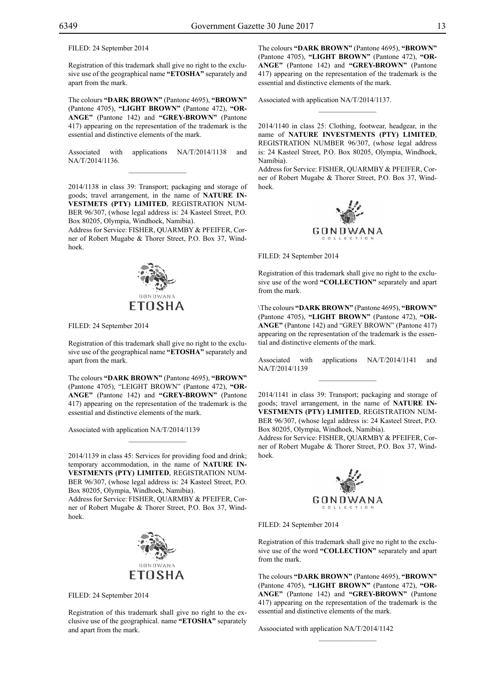FILED: 24 September 2014

Registration of this trademark shall give no right to the exclusive use of the geographical name **"ETOSHA"** separately and apart from the mark.

The colours **"DARK BROWN"** (Pantone 4695), **"BROWN"**  (Pantone 4705), **"LIGHT BROWN"** (Pantone 472), **"OR-ANGE"** (Pantone 142) and **"GREY-BROWN"** (Pantone 417) appearing on the representation of the trademark is the essential and distinctive elements of the mark.

Associated with applications NA/T/2014/1138 and NA/T/2014/1136.  $\overline{\phantom{a}}$  , where  $\overline{\phantom{a}}$ 

2014/1138 in class 39: Transport; packaging and storage of goods; travel arrangement, in the name of **NATURE IN-VESTMETS (PTY) LIMITED**, REGISTRATION NUM-BER 96/307, (whose legal address is: 24 Kasteel Street, P.O. Box 80205, Olympia, Windhoek, Namibia).

Address for Service: FISHER, QUARMBY & PFEIFER, Corner of Robert Mugabe & Thorer Street, P.O. Box 37, Windhoek.



FILED: 24 September 2014

Registration of this trademark shall give no right to the exclusive use of the geographical name **"ETOSHA"** separately and apart from the mark.

The colours **"DARK BROWN"** (Pantone 4695), **"BROWN"**  (Pantone 4705), "LEIGHT BROWN" (Pantone 472), **"OR-ANGE"** (Pantone 142) and **"GREY-BROWN"** (Pantone 417) appearing on the representation of the trademark is the essential and distinctive elements of the mark.

Associated with application NA/T/2014/1139

2014/1139 in class 45: Services for providing food and drink; temporary accommodation, in the name of **NATURE IN-VESTMENTS (PTY) LIMITED**, REGISTRATION NUM-BER 96/307, (whose legal address is: 24 Kasteel Street, P.O. Box 80205, Olympia, Windhoek, Namibia).

Address for Service: FISHER, QUARMBY & PFEIFER, Corner of Robert Mugabe & Thorer Street, P.O. Box 37, Windhoek.



FILED: 24 September 2014

Registration of this trademark shall give no right to the exclusive use of the geographical. name **"ETOSHA"** separately and apart from the mark.

The colours **"DARK BROWN"** (Pantone 4695), **"BROWN"**  (Pantone 4705), **"LIGHT BROWN"** (Pantone 472), **"OR-ANGE"** (Pantone 142) and **"GREY-BROWN"** (Pantone 417) appearing on the representation of the trademark is the essential and distinctive elements of the mark.

Associated with application NA/T/2014/1137.

2014/1140 in class 25: Clothing, footwear, headgear, in the name of **NATURE INVESTMENTS (PTY) LIMITED**, REGISTRATION NUMBER 96/307, (whose legal address is: 24 Kasteel Street, P.O. Box 80205, Olympia, Windhoek, Namibia).

 $\frac{1}{2}$ 

Address for Service: FISHER, QUARMBY & PFEIFER, Corner of Robert Mugabe & Thorer Street, P.O. Box 37, Windhoek.



FILED: 24 September 2014

Registration of this trademark shall give no right to the exclusive use of the word **"COLLECTION"** separately and apart from the mark.

\The colours **"DARK BROWN"** (Pantone 4695), **"BROWN"**  (Pantone 4705), **"LIGHT BROWN"** (Pantone 472), **"OR-ANGE"** (Pantone 142) and "GREY BROWN" (Pantone 417) appearing on the representation of the trademark is the essential and distinctive elements of the mark.

Associated with applications NA/T/2014/1141 and NA/T/2014/1139  $\frac{1}{2}$ 

2014/1141 in class 39: Transport; packaging and storage of goods; travel arrangement, in the name of **NATURE IN-VESTMENTS (PTY) LIMITED**, REGISTRATION NUM-BER 96/307, (whose legal address is: 24 Kasteel Street, P.O. Box 80205, Olympia, Windhoek, Namibia).

Address for Service: FISHER, QUARMBY & PFEIFER, Corner of Robert Mugabe & Thorer Street, P.O. Box 37, Windhoek.



Filed: 24 September 2014

Registration of this trademark shall give no right to the exclusive use of the word **"COLLECTION"** separately and apart from the mark.

The colours **"DARK BROWN"** (Pantone 4695), **"BROWN"**  (Pantone 4705), **"LIGHT BROWN"** (Pantone 472), **"OR-ANGE"** (Pantone 142) and **"GREY-BROWN"** (Pantone 417) appearing on the representation of the trademark is the essential and distinctive elements of the mark.

 $\frac{1}{2}$ 

Assoociated with application NA/T/2014/1142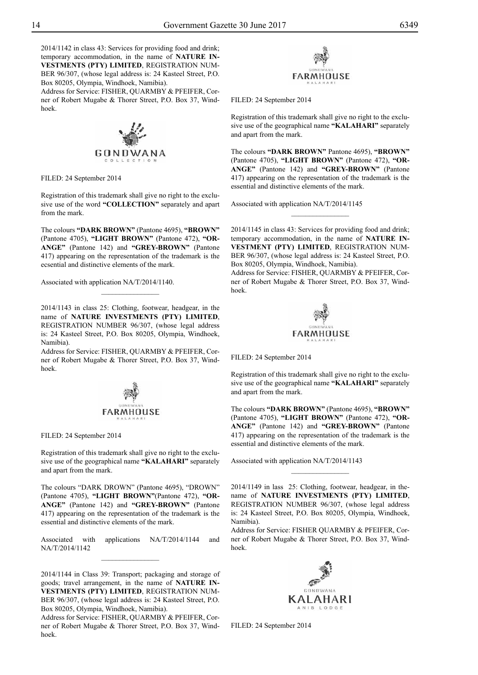2014/1142 in class 43: Services for providing food and drink; temporary accommodation, in the name of **NATURE IN-VESTMENTS (PTY) LIMITED**, REGISTRATION NUM-BER 96/307, (whose legal address is: 24 Kasteel Street, P.O. Box 80205, Olympia, Windhoek, Namibia).

Address for Service: FISHER, QUARMBY & PFEIFER, Corner of Robert Mugabe & Thorer Street, P.O. Box 37, Windhoek.



FILED: 24 September 2014

Registration of this trademark shall give no right to the exclusive use of the word **"COLLECTION"** separately and apart from the mark.

The colours **"DARK BROWN"** (Pantone 4695), **"BROWN"**  (Pantone 4705), **"LIGHT BROWN"** (Pantone 472), **"OR-ANGE"** (Pantone 142) and **"GREY-BROWN"** (Pantone 417) appearing on the representation of the trademark is the ecsential and distinctive elements of the mark.

Associated with application NA/T/2014/1140.

2014/1143 in class 25: Clothing, footwear, headgear, in the name of **NATURE INVESTMENTS (PTY) LIMITED**, REGISTRATION NUMBER 96/307, (whose legal address is: 24 Kasteel Street, P.O. Box 80205, Olympia, Windhoek, Namibia).

 $\overline{\phantom{a}}$  , where  $\overline{\phantom{a}}$ 

Address for Service: FISHER, QUARMBY & PFEIFER, Corner of Robert Mugabe & Thorer Street, P.O. Box 37, Windhoek.



FILED: 24 September 2014

Registration of this trademark shall give no right to the exclusive use of the geographical name **"KALAHARI"** separately and apart from the mark.

The colours "DARK DROWN" (Pantone 4695), "DROWN" (Pantone 4705), **"LIGHT BROWN"**(Pantone 472), **"OR-ANGE"** (Pantone 142) and **"GREY-BROWN"** (Pantone 417) appearing on the representation of the trademark is the essential and distinctive elements of the mark.

Associated with applications NA/T/2014/1144 and NA/T/2014/1142  $\frac{1}{2}$ 

2014/1144 in Class 39: Transport; packaging and storage of goods; travel arrangement, in the name of **NATURE IN-VESTMENTS (PTY) LIMITED**, REGISTRATION NUM-BER 96/307, (whose legal address is: 24 Kasteel Street, P.O. Box 80205, Olympia, Windhoek, Namibia).

Address for Service: FISHER, QUARMBY & PFEIFER, Corner of Robert Mugabe & Thorer Street, P.O. Box 37, Windhoek.



Filed: 24 September 2014

Registration of this trademark shall give no right to the exclusive use of the geographical name **"KALAHARI"** separately and apart from the mark.

The colours **"DARK BROWN"** Pantone 4695), **"BROWN"**  (Pantone 4705), **"LIGHT BROWN"** (Pantone 472), **"OR-ANGE"** (Pantone 142) and **"GREY-BROWN"** (Pantone 417) appearing on the representation of the trademark is the essential and distinctive elements of the mark.

Associated with application NA/T/2014/1145

2014/1145 in class 43: Services for providing food and drink; temporary accommodation, in the name of **NATURE IN-VESTMENT (PTY) LIMITED**, REGISTRATION NUM-BER 96/307, (whose legal address is: 24 Kasteel Street, P.O. Box 80205, Olympia, Windhoek, Namibia).

 $\frac{1}{2}$ 

Address for Service: FISHER, QUARMBY & PFEIFER, Corner of Robert Mugabe & Thorer Street, P.O. Box 37, Windhoek.



Filed: 24 September 2014

Registration of this trademark shall give no right to the exclusive use of the geographical name **"KALAHARI"** separately and apart from the mark.

The colours **"DARK BROWN"** (Pantone 4695), **"BROWN"**  (Pantone 4705), **"LIGHT BROWN"** (Pantone 472), **"OR-ANGE"** (Pantone 142) and **"GREY-BROWN"** (Pantone 417) appearing on the representation of the trademark is the essential and distinctive elements of the mark.

Associated with application NA/T/2014/1143

2014/1149 in lass 25: Clothing, footwear, headgear, in thename of **NATURE INVESTMENTS (PTY) LIMITED**, REGISTRATION NUMBER 96/307, (whose legal address is: 24 Kasteel Street, P.O. Box 80205, Olympia, Windhoek, Namibia).

Address for Service: FISHER QUARMBY & PFEIFER, Corner of Robert Mugabe & Thorer Street, P.O. Box 37, Windhoek.



Filed: 24 September 2014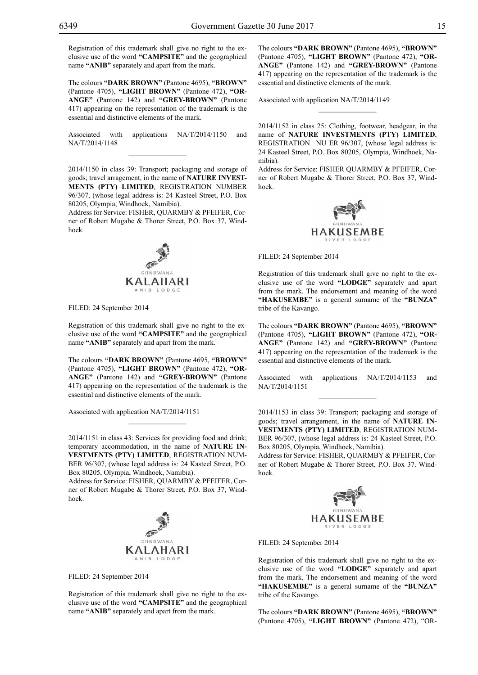Registration of this trademark shall give no right to the exclusive use of the word **"CAMPSITE"** and the geographical name **"ANIB"** separately and apart from the mark.

The colours **"DARK BROWN"** (Pantone 4695), **"BROWN"**  (Pantone 4705), **"LIGHT BROWN"** (Pantone 472), **"OR-ANGE"** (Pantone 142) and **"GREY-BROWN"** (Pantone 417) appearing on the representation of the trademark is the essential and distinctive elements of the mark.

Associated with applications NA/T/2014/1150 and NA/T/2014/1148  $\mathcal{L}=\mathcal{L}^{\mathcal{L}}$ 

2014/1150 in class 39: Transport; packaging and storage of goods; travel arragement, in the name of **NATURE INVEST-MENTS (PTY) LIMITED**, REGISTRATION NUMBER 96/307, (whose legal address is: 24 Kasteel Street, P.O. Box 80205, Olympia, Windhoek, Namibia).

Address for Service: FISHER, QUARMBY & PFEIFER, Corner of Robert Mugabe & Thorer Street, P.O. Box 37, Windhoek.



Filed: 24 September 2014

Registration of this trademark shall give no right to the exclusive use of the word **"CAMPSITE"** and the geographical name **"ANIB"** separately and apart from the mark.

The colours **"DARK BROWN"** (Pantone 4695, **"BROWN"**  (Pantone 4705), **"LIGHT BROWN"** (Pantone 472), **"OR-ANGE"** (Pantone 142) and **"GREY-BROWN"** (Pantone 417) appearing on the representation of the trademark is the essential and distinctive elements of the mark.

Associated with application NA/T/2014/1151

2014/1151 in class 43: Services for providing food and drink; temporary accommodation, in the name of **NATURE IN-VESTMENTS (PTY) LIMITED**, REGISTRATION NUM-BER 96/307, (whose legal address is: 24 Kasteel Street, P.O. Box 80205, Olympia, Windhoek, Namibia).

 $\overline{\phantom{a}}$  , where  $\overline{\phantom{a}}$ 

Address for Service: FISHER, QUARMBY & PFEIFER, Corner of Robert Mugabe & Thorer Street, P.O. Box 37, Windhoek.



Filed: 24 September 2014

Registration of this trademark shall give no right to the exclusive use of the word **"CAMPSITE"** and the geographical name **"ANIB"** separately and apart from the mark.

The colours **"DARK BROWN"** (Pantone 4695), **"BROWN"**  (Pantone 4705), **"LIGHT BROWN"** (Pantone 472), **"OR-ANGE"** (Pantone 142) and **"GREY-BROWN"** (Pantone 417) appearing on the representation of the trademark is the essential and distinctive elements of the mark.

Associated with application NA/T/2014/1149

2014/1152 in class 25: Clothing, footwear, headgear, in the name of **NATURE INVESTMENTS (PTY) LIMITED**, REGISTRATION NU ER 96/307, (whose legal address is: 24 Kasteel Street, P.O. Box 80205, Olympia, Windhoek, Namibia).

 $\frac{1}{2}$ 

Address for Service: FISHER QUARMBY & PFEIFER, Corner of Robert Mugabe & Thorer Street, P.O. Box 37, Windhoek.



FILED: 24 September 2014

Registration of this trademark shall give no right to the exclusive use of the word **"LODGE"** separately and apart from the mark. The endorsement and meaning of the word **"HAKUSEMBE"** is a general surname of the **"BUNZA"**  tribe of the Kavango.

The colours **"DARK BROWN"** (Pantone 4695), **"BROWN"**  (Pantone 4705), **"LIGHT BROWN"** (Pantone 472), **"OR-ANGE"** (Pantone 142) and **"GREY-BROWN"** (Pantone 417) appearing on the representation of the trademark is the essential and distinctive elements of the mark.

Associated with applications NA/T/2014/1153 and NA/T/2014/1151  $\frac{1}{2}$ 

2014/1153 in class 39: Transport; packaging and storage of goods; travel arrangement, in the name of **NATURE IN-VESTMENTS (PTY) LIMITED**, REGISTRATION NUM-BER 96/307, (whose legal address is: 24 Kasteel Street, P.O. Box 80205, Olympia, Windhoek, Namibia).

Address for Service: FISHER, QUARMBY & PFEIFER, Corner of Robert Mugabe & Thorer Street, P.O. Box 37. Windhoek.



FILED: 24 September 2014

Registration of this trademark shall give no right to the exclusive use of the word **"LODGE"** separately and apart from the mark. The endorsement and meaning of the word **"HAKUSEMBE"** is a general surname of the **"BUNZA"**  tribe of the Kavango.

The colours **"DARK BROWN"** (Pantone 4695), **"BROWN"**  (Pantone 4705), **"LIGHT BROWN"** (Pantone 472), "OR-